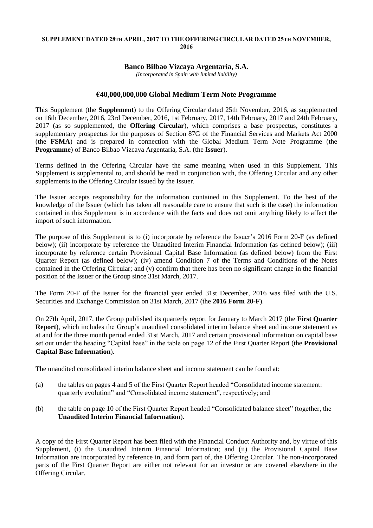## **SUPPLEMENT DATED 28TH APRIL, 2017 TO THE OFFERING CIRCULAR DATED 25TH NOVEMBER, 2016**

## **Banco Bilbao Vizcaya Argentaria, S.A.**

*(Incorporated in Spain with limited liability)*

## **€40,000,000,000 Global Medium Term Note Programme**

This Supplement (the **Supplement**) to the Offering Circular dated 25th November, 2016, as supplemented on 16th December, 2016, 23rd December, 2016, 1st February, 2017, 14th February, 2017 and 24th February, 2017 (as so supplemented, the **Offering Circular**), which comprises a base prospectus, constitutes a supplementary prospectus for the purposes of Section 87G of the Financial Services and Markets Act 2000 (the **FSMA**) and is prepared in connection with the Global Medium Term Note Programme (the **Programme**) of Banco Bilbao Vizcaya Argentaria, S.A. (the **Issuer**).

Terms defined in the Offering Circular have the same meaning when used in this Supplement. This Supplement is supplemental to, and should be read in conjunction with, the Offering Circular and any other supplements to the Offering Circular issued by the Issuer.

The Issuer accepts responsibility for the information contained in this Supplement. To the best of the knowledge of the Issuer (which has taken all reasonable care to ensure that such is the case) the information contained in this Supplement is in accordance with the facts and does not omit anything likely to affect the import of such information.

The purpose of this Supplement is to (i) incorporate by reference the Issuer's 2016 Form 20-F (as defined below); (ii) incorporate by reference the Unaudited Interim Financial Information (as defined below): (iii) incorporate by reference certain Provisional Capital Base Information (as defined below) from the First Quarter Report (as defined below); (iv) amend Condition 7 of the Terms and Conditions of the Notes contained in the Offering Circular; and (v) confirm that there has been no significant change in the financial position of the Issuer or the Group since 31st March, 2017.

The Form 20-F of the Issuer for the financial year ended 31st December, 2016 was filed with the U.S. Securities and Exchange Commission on 31st March, 2017 (the **2016 Form 20-F**).

On 27th April, 2017, the Group published its quarterly report for January to March 2017 (the **First Quarter Report**), which includes the Group's unaudited consolidated interim balance sheet and income statement as at and for the three month period ended 31st March, 2017 and certain provisional information on capital base set out under the heading "Capital base" in the table on page 12 of the First Quarter Report (the **Provisional Capital Base Information**).

The unaudited consolidated interim balance sheet and income statement can be found at:

- (a) the tables on pages 4 and 5 of the First Quarter Report headed "Consolidated income statement: quarterly evolution" and "Consolidated income statement", respectively; and
- (b) the table on page 10 of the First Quarter Report headed "Consolidated balance sheet" (together, the **Unaudited Interim Financial Information**).

A copy of the First Quarter Report has been filed with the Financial Conduct Authority and, by virtue of this Supplement, (i) the Unaudited Interim Financial Information; and (ii) the Provisional Capital Base Information are incorporated by reference in, and form part of, the Offering Circular. The non-incorporated parts of the First Quarter Report are either not relevant for an investor or are covered elsewhere in the Offering Circular.